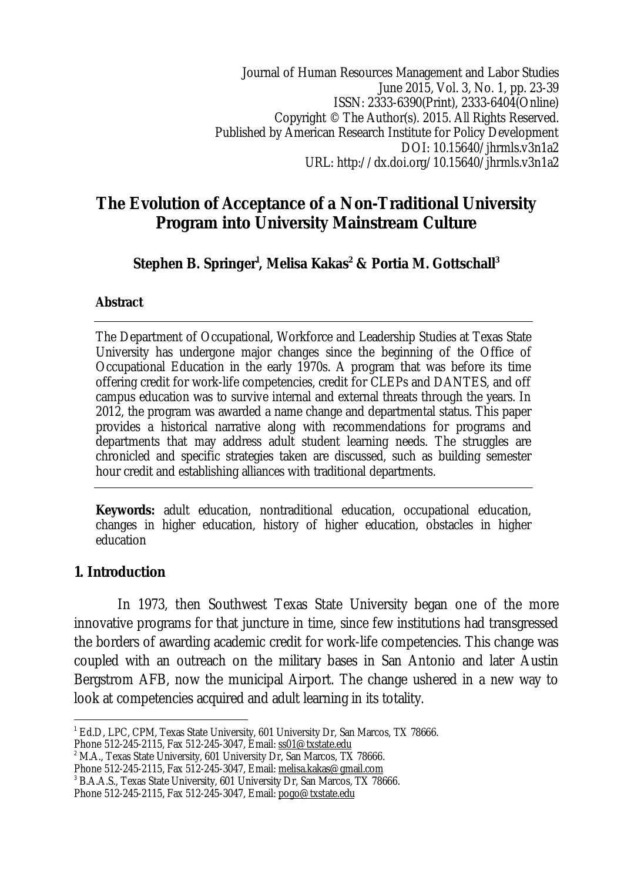Journal of Human Resources Management and Labor Studies June 2015, Vol. 3, No. 1, pp. 23-39 ISSN: 2333-6390(Print), 2333-6404(Online) Copyright © The Author(s). 2015. All Rights Reserved. Published by American Research Institute for Policy Development DOI: 10.15640/jhrmls.v3n1a2 URL: http://dx.doi.org/10.15640/jhrmls.v3n1a2

# **The Evolution of Acceptance of a Non-Traditional University Program into University Mainstream Culture**

**Stephen B. Springer<sup>1</sup> , Melisa Kakas<sup>2</sup> & Portia M. Gottschall<sup>3</sup>**

### **Abstract**

The Department of Occupational, Workforce and Leadership Studies at Texas State University has undergone major changes since the beginning of the Office of Occupational Education in the early 1970s. A program that was before its time offering credit for work-life competencies, credit for CLEPs and DANTES, and off campus education was to survive internal and external threats through the years. In 2012, the program was awarded a name change and departmental status. This paper provides a historical narrative along with recommendations for programs and departments that may address adult student learning needs. The struggles are chronicled and specific strategies taken are discussed, such as building semester hour credit and establishing alliances with traditional departments.

**Keywords:** adult education, nontraditional education, occupational education, changes in higher education, history of higher education, obstacles in higher education

### **1. Introduction**

In 1973, then Southwest Texas State University began one of the more innovative programs for that juncture in time, since few institutions had transgressed the borders of awarding academic credit for work-life competencies. This change was coupled with an outreach on the military bases in San Antonio and later Austin Bergstrom AFB, now the municipal Airport. The change ushered in a new way to look at competencies acquired and adult learning in its totality.

<sup>2</sup> M.A., Texas State University, 601 University Dr, San Marcos, TX 78666.

 $\overline{a}$ <sup>1</sup> Ed.D, LPC, CPM, Texas State University, 601 University Dr, San Marcos, TX 78666. Phone 512-245-2115, Fax 512-245-3047, Email: ss01@txstate.edu

Phone 512-245-2115, Fax 512-245-3047, Email: melisa.kakas@gmail.com

<sup>&</sup>lt;sup>3</sup> B.A.A.S., Texas State University, 601 University Dr, San Marcos, TX 78666.

Phone 512-245-2115, Fax 512-245-3047, Email: pogo@txstate.edu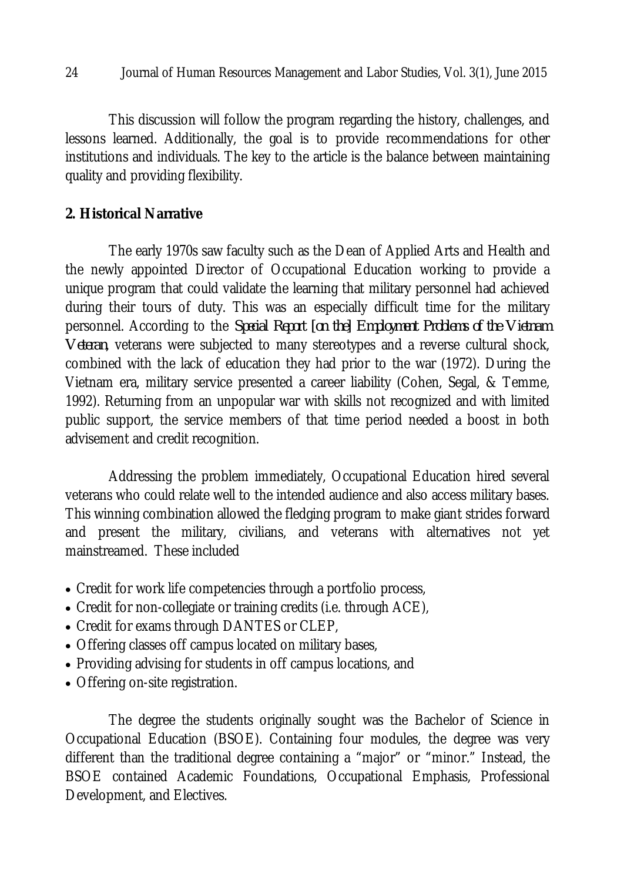This discussion will follow the program regarding the history, challenges, and lessons learned. Additionally, the goal is to provide recommendations for other institutions and individuals. The key to the article is the balance between maintaining quality and providing flexibility.

# **2. Historical Narrative**

The early 1970s saw faculty such as the Dean of Applied Arts and Health and the newly appointed Director of Occupational Education working to provide a unique program that could validate the learning that military personnel had achieved during their tours of duty. This was an especially difficult time for the military personnel. According to the *Special Report [on the] Employment Problems of the Vietnam Veteran*, veterans were subjected to many stereotypes and a reverse cultural shock, combined with the lack of education they had prior to the war (1972). During the Vietnam era, military service presented a career liability (Cohen, Segal, & Temme, 1992). Returning from an unpopular war with skills not recognized and with limited public support, the service members of that time period needed a boost in both advisement and credit recognition.

Addressing the problem immediately, Occupational Education hired several veterans who could relate well to the intended audience and also access military bases. This winning combination allowed the fledging program to make giant strides forward and present the military, civilians, and veterans with alternatives not yet mainstreamed. These included

- Credit for work life competencies through a portfolio process,
- Credit for non-collegiate or training credits (i.e. through ACE),
- Credit for exams through DANTES or CLEP,
- Offering classes off campus located on military bases,
- Providing advising for students in off campus locations, and
- Offering on-site registration.

The degree the students originally sought was the Bachelor of Science in Occupational Education (BSOE). Containing four modules, the degree was very different than the traditional degree containing a "major" or "minor." Instead, the BSOE contained Academic Foundations, Occupational Emphasis, Professional Development, and Electives.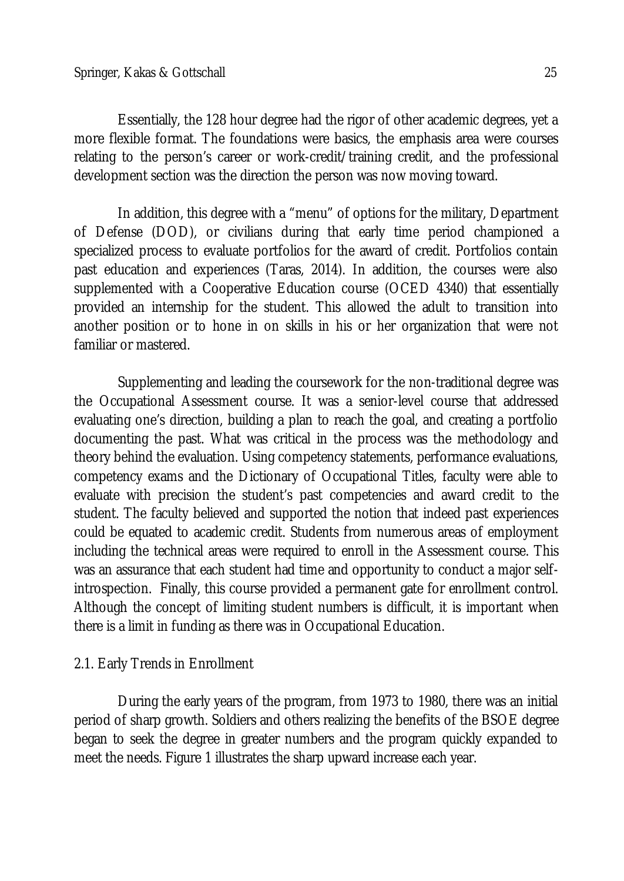Essentially, the 128 hour degree had the rigor of other academic degrees, yet a more flexible format. The foundations were basics, the emphasis area were courses relating to the person's career or work-credit/training credit, and the professional development section was the direction the person was now moving toward.

In addition, this degree with a "menu" of options for the military, Department of Defense (DOD), or civilians during that early time period championed a specialized process to evaluate portfolios for the award of credit. Portfolios contain past education and experiences (Taras, 2014). In addition, the courses were also supplemented with a Cooperative Education course (OCED 4340) that essentially provided an internship for the student. This allowed the adult to transition into another position or to hone in on skills in his or her organization that were not familiar or mastered.

Supplementing and leading the coursework for the non-traditional degree was the Occupational Assessment course. It was a senior-level course that addressed evaluating one's direction, building a plan to reach the goal, and creating a portfolio documenting the past. What was critical in the process was the methodology and theory behind the evaluation. Using competency statements, performance evaluations, competency exams and the Dictionary of Occupational Titles, faculty were able to evaluate with precision the student's past competencies and award credit to the student. The faculty believed and supported the notion that indeed past experiences could be equated to academic credit. Students from numerous areas of employment including the technical areas were required to enroll in the Assessment course. This was an assurance that each student had time and opportunity to conduct a major selfintrospection. Finally, this course provided a permanent gate for enrollment control. Although the concept of limiting student numbers is difficult, it is important when there is a limit in funding as there was in Occupational Education.

# 2.1. Early Trends in Enrollment

During the early years of the program, from 1973 to 1980, there was an initial period of sharp growth. Soldiers and others realizing the benefits of the BSOE degree began to seek the degree in greater numbers and the program quickly expanded to meet the needs. Figure 1 illustrates the sharp upward increase each year.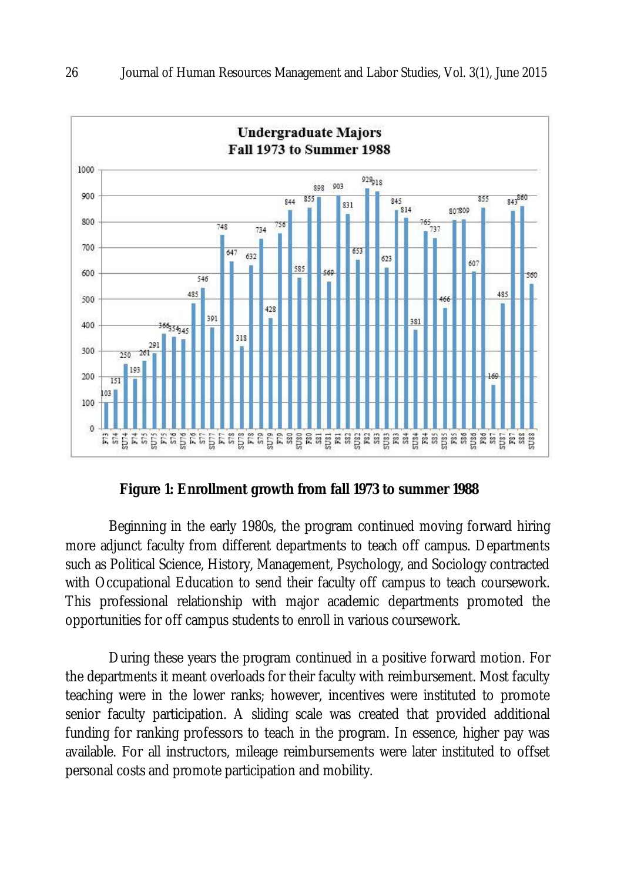

**Figure 1: Enrollment growth from fall 1973 to summer 1988**

Beginning in the early 1980s, the program continued moving forward hiring more adjunct faculty from different departments to teach off campus. Departments such as Political Science, History, Management, Psychology, and Sociology contracted with Occupational Education to send their faculty off campus to teach coursework. This professional relationship with major academic departments promoted the opportunities for off campus students to enroll in various coursework.

During these years the program continued in a positive forward motion. For the departments it meant overloads for their faculty with reimbursement. Most faculty teaching were in the lower ranks; however, incentives were instituted to promote senior faculty participation. A sliding scale was created that provided additional funding for ranking professors to teach in the program. In essence, higher pay was available. For all instructors, mileage reimbursements were later instituted to offset personal costs and promote participation and mobility.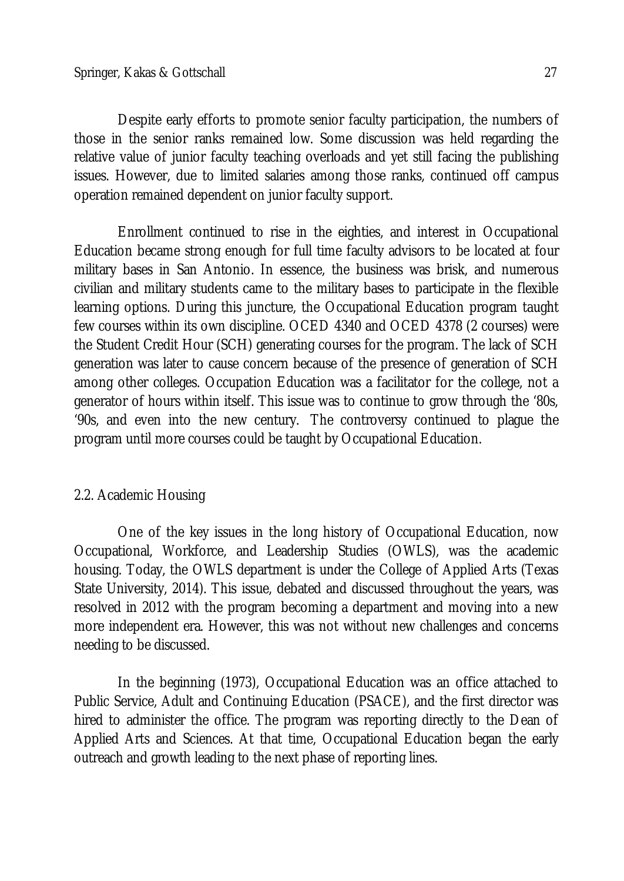Despite early efforts to promote senior faculty participation, the numbers of those in the senior ranks remained low. Some discussion was held regarding the relative value of junior faculty teaching overloads and yet still facing the publishing issues. However, due to limited salaries among those ranks, continued off campus operation remained dependent on junior faculty support.

Enrollment continued to rise in the eighties, and interest in Occupational Education became strong enough for full time faculty advisors to be located at four military bases in San Antonio. In essence, the business was brisk, and numerous civilian and military students came to the military bases to participate in the flexible learning options. During this juncture, the Occupational Education program taught few courses within its own discipline. OCED 4340 and OCED 4378 (2 courses) were the Student Credit Hour (SCH) generating courses for the program. The lack of SCH generation was later to cause concern because of the presence of generation of SCH among other colleges. Occupation Education was a facilitator for the college, not a generator of hours within itself. This issue was to continue to grow through the '80s, '90s, and even into the new century. The controversy continued to plague the program until more courses could be taught by Occupational Education.

## 2.2. Academic Housing

One of the key issues in the long history of Occupational Education, now Occupational, Workforce, and Leadership Studies (OWLS), was the academic housing. Today, the OWLS department is under the College of Applied Arts (Texas State University, 2014). This issue, debated and discussed throughout the years, was resolved in 2012 with the program becoming a department and moving into a new more independent era. However, this was not without new challenges and concerns needing to be discussed.

In the beginning (1973), Occupational Education was an office attached to Public Service, Adult and Continuing Education (PSACE), and the first director was hired to administer the office. The program was reporting directly to the Dean of Applied Arts and Sciences. At that time, Occupational Education began the early outreach and growth leading to the next phase of reporting lines.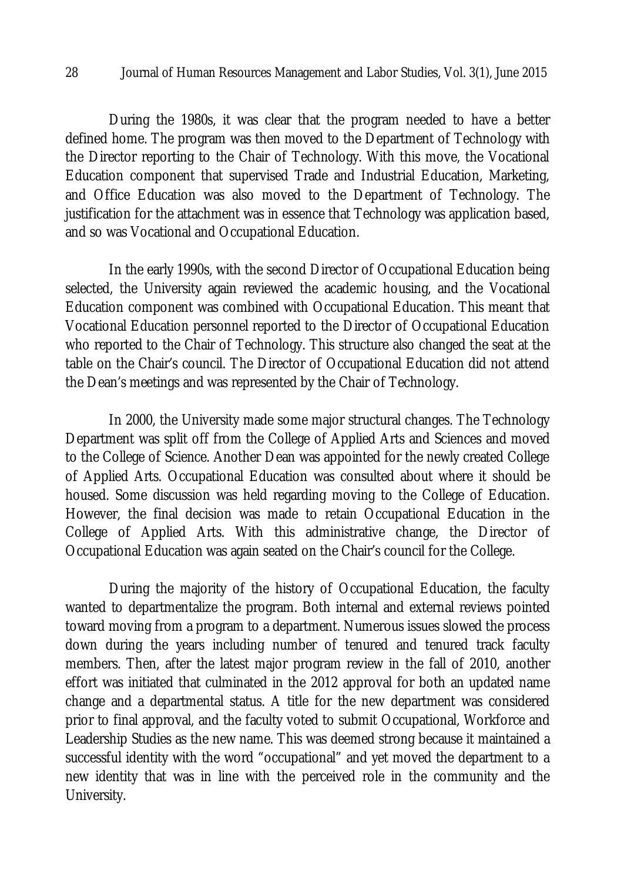During the 1980s, it was clear that the program needed to have a better defined home. The program was then moved to the Department of Technology with the Director reporting to the Chair of Technology. With this move, the Vocational Education component that supervised Trade and Industrial Education, Marketing, and Office Education was also moved to the Department of Technology. The justification for the attachment was in essence that Technology was application based, and so was Vocational and Occupational Education.

In the early 1990s, with the second Director of Occupational Education being selected, the University again reviewed the academic housing, and the Vocational Education component was combined with Occupational Education. This meant that Vocational Education personnel reported to the Director of Occupational Education who reported to the Chair of Technology. This structure also changed the seat at the table on the Chair's council. The Director of Occupational Education did not attend the Dean's meetings and was represented by the Chair of Technology.

In 2000, the University made some major structural changes. The Technology Department was split off from the College of Applied Arts and Sciences and moved to the College of Science. Another Dean was appointed for the newly created College of Applied Arts. Occupational Education was consulted about where it should be housed. Some discussion was held regarding moving to the College of Education. However, the final decision was made to retain Occupational Education in the College of Applied Arts. With this administrative change, the Director of Occupational Education was again seated on the Chair's council for the College.

During the majority of the history of Occupational Education, the faculty wanted to departmentalize the program. Both internal and external reviews pointed toward moving from a program to a department. Numerous issues slowed the process down during the years including number of tenured and tenured track faculty members. Then, after the latest major program review in the fall of 2010, another effort was initiated that culminated in the 2012 approval for both an updated name change and a departmental status. A title for the new department was considered prior to final approval, and the faculty voted to submit Occupational, Workforce and Leadership Studies as the new name. This was deemed strong because it maintained a successful identity with the word "occupational" and yet moved the department to a new identity that was in line with the perceived role in the community and the University.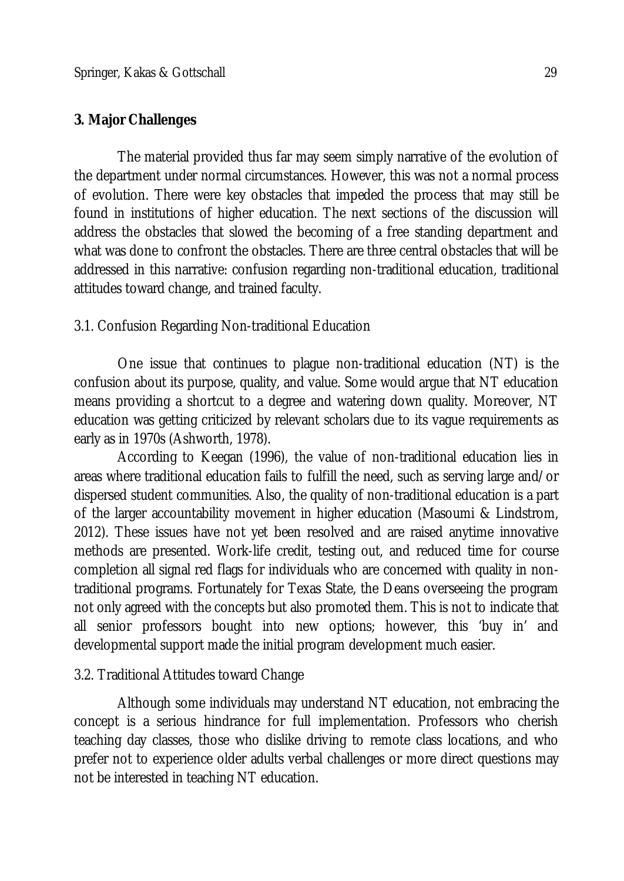## **3. Major Challenges**

The material provided thus far may seem simply narrative of the evolution of the department under normal circumstances. However, this was not a normal process of evolution. There were key obstacles that impeded the process that may still be found in institutions of higher education. The next sections of the discussion will address the obstacles that slowed the becoming of a free standing department and what was done to confront the obstacles. There are three central obstacles that will be addressed in this narrative: confusion regarding non-traditional education, traditional attitudes toward change, and trained faculty.

## 3.1. Confusion Regarding Non-traditional Education

One issue that continues to plague non-traditional education (NT) is the confusion about its purpose, quality, and value. Some would argue that NT education means providing a shortcut to a degree and watering down quality. Moreover, NT education was getting criticized by relevant scholars due to its vague requirements as early as in 1970s (Ashworth, 1978).

According to Keegan (1996), the value of non-traditional education lies in areas where traditional education fails to fulfill the need, such as serving large and/or dispersed student communities. Also, the quality of non-traditional education is a part of the larger accountability movement in higher education (Masoumi & Lindstrom, 2012). These issues have not yet been resolved and are raised anytime innovative methods are presented. Work-life credit, testing out, and reduced time for course completion all signal red flags for individuals who are concerned with quality in nontraditional programs. Fortunately for Texas State, the Deans overseeing the program not only agreed with the concepts but also promoted them. This is not to indicate that all senior professors bought into new options; however, this 'buy in' and developmental support made the initial program development much easier.

## 3.2. Traditional Attitudes toward Change

Although some individuals may understand NT education, not embracing the concept is a serious hindrance for full implementation. Professors who cherish teaching day classes, those who dislike driving to remote class locations, and who prefer not to experience older adults verbal challenges or more direct questions may not be interested in teaching NT education.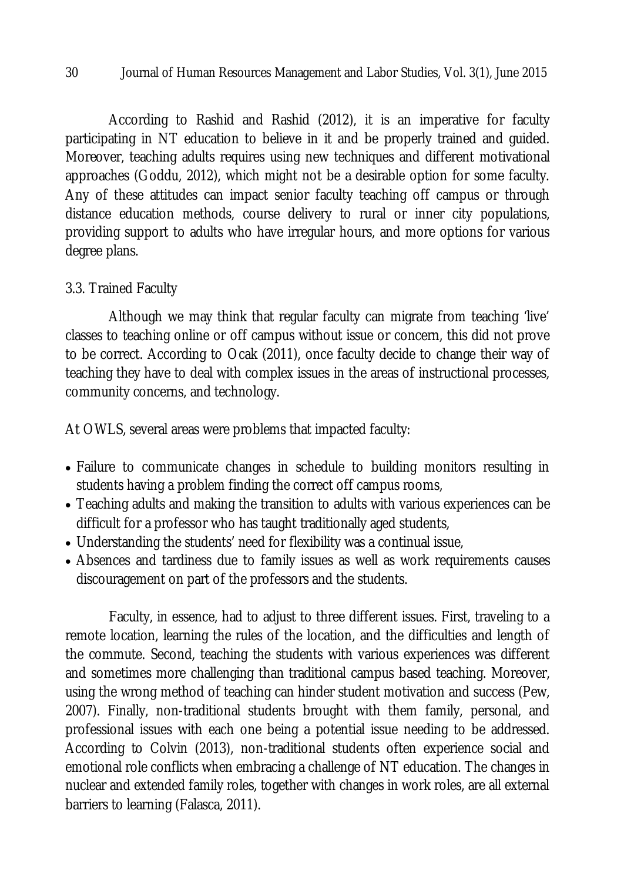According to Rashid and Rashid (2012), it is an imperative for faculty participating in NT education to believe in it and be properly trained and guided. Moreover, teaching adults requires using new techniques and different motivational approaches (Goddu, 2012), which might not be a desirable option for some faculty. Any of these attitudes can impact senior faculty teaching off campus or through distance education methods, course delivery to rural or inner city populations, providing support to adults who have irregular hours, and more options for various degree plans.

## 3.3. Trained Faculty

Although we may think that regular faculty can migrate from teaching 'live' classes to teaching online or off campus without issue or concern, this did not prove to be correct. According to Ocak (2011), once faculty decide to change their way of teaching they have to deal with complex issues in the areas of instructional processes, community concerns, and technology.

At OWLS, several areas were problems that impacted faculty:

- Failure to communicate changes in schedule to building monitors resulting in students having a problem finding the correct off campus rooms,
- Teaching adults and making the transition to adults with various experiences can be difficult for a professor who has taught traditionally aged students,
- Understanding the students' need for flexibility was a continual issue,
- Absences and tardiness due to family issues as well as work requirements causes discouragement on part of the professors and the students.

Faculty, in essence, had to adjust to three different issues. First, traveling to a remote location, learning the rules of the location, and the difficulties and length of the commute. Second, teaching the students with various experiences was different and sometimes more challenging than traditional campus based teaching. Moreover, using the wrong method of teaching can hinder student motivation and success (Pew, 2007). Finally, non-traditional students brought with them family, personal, and professional issues with each one being a potential issue needing to be addressed. According to Colvin (2013), non-traditional students often experience social and emotional role conflicts when embracing a challenge of NT education. The changes in nuclear and extended family roles, together with changes in work roles, are all external barriers to learning (Falasca, 2011).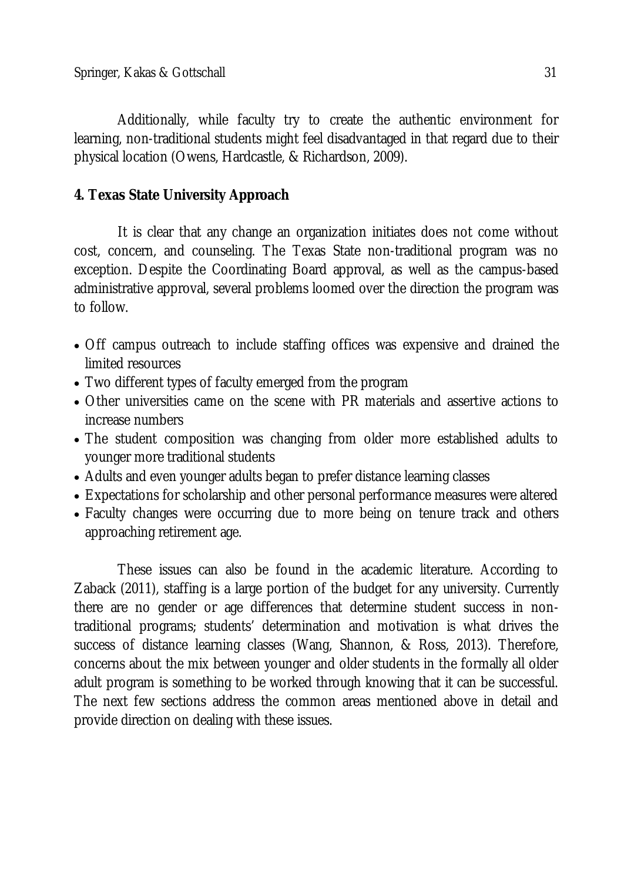Additionally, while faculty try to create the authentic environment for learning, non-traditional students might feel disadvantaged in that regard due to their physical location (Owens, Hardcastle, & Richardson, 2009).

# **4. Texas State University Approach**

It is clear that any change an organization initiates does not come without cost, concern, and counseling. The Texas State non-traditional program was no exception. Despite the Coordinating Board approval, as well as the campus-based administrative approval, several problems loomed over the direction the program was to follow.

- Off campus outreach to include staffing offices was expensive and drained the limited resources
- Two different types of faculty emerged from the program
- Other universities came on the scene with PR materials and assertive actions to increase numbers
- The student composition was changing from older more established adults to younger more traditional students
- Adults and even younger adults began to prefer distance learning classes
- Expectations for scholarship and other personal performance measures were altered
- Faculty changes were occurring due to more being on tenure track and others approaching retirement age.

These issues can also be found in the academic literature. According to Zaback (2011), staffing is a large portion of the budget for any university. Currently there are no gender or age differences that determine student success in nontraditional programs; students' determination and motivation is what drives the success of distance learning classes (Wang, Shannon, & Ross, 2013). Therefore, concerns about the mix between younger and older students in the formally all older adult program is something to be worked through knowing that it can be successful. The next few sections address the common areas mentioned above in detail and provide direction on dealing with these issues.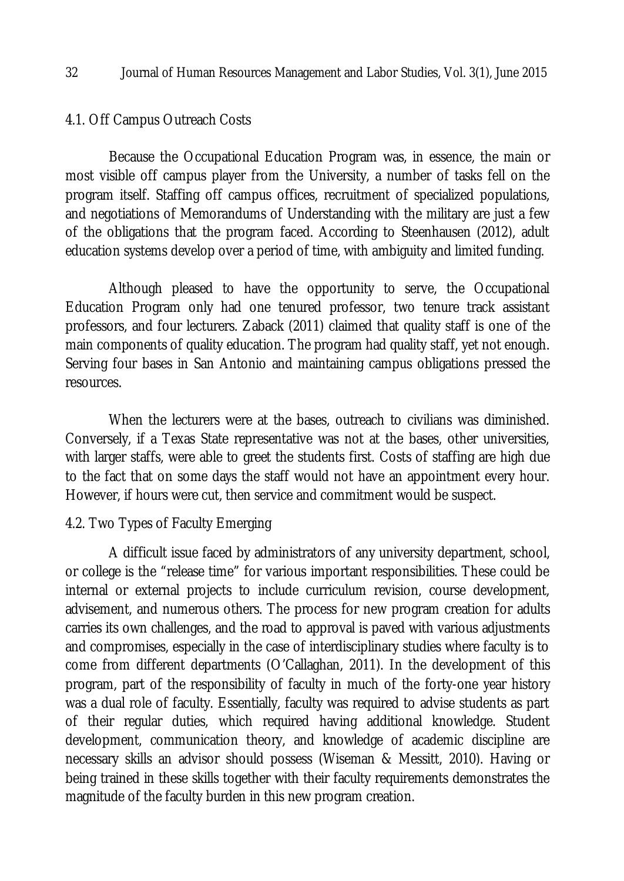### 4.1. Off Campus Outreach Costs

Because the Occupational Education Program was, in essence, the main or most visible off campus player from the University, a number of tasks fell on the program itself. Staffing off campus offices, recruitment of specialized populations, and negotiations of Memorandums of Understanding with the military are just a few of the obligations that the program faced. According to Steenhausen (2012), adult education systems develop over a period of time, with ambiguity and limited funding.

Although pleased to have the opportunity to serve, the Occupational Education Program only had one tenured professor, two tenure track assistant professors, and four lecturers. Zaback (2011) claimed that quality staff is one of the main components of quality education. The program had quality staff, yet not enough. Serving four bases in San Antonio and maintaining campus obligations pressed the resources.

When the lecturers were at the bases, outreach to civilians was diminished. Conversely, if a Texas State representative was not at the bases, other universities, with larger staffs, were able to greet the students first. Costs of staffing are high due to the fact that on some days the staff would not have an appointment every hour. However, if hours were cut, then service and commitment would be suspect.

### 4.2. Two Types of Faculty Emerging

A difficult issue faced by administrators of any university department, school, or college is the "release time" for various important responsibilities. These could be internal or external projects to include curriculum revision, course development, advisement, and numerous others. The process for new program creation for adults carries its own challenges, and the road to approval is paved with various adjustments and compromises, especially in the case of interdisciplinary studies where faculty is to come from different departments (O'Callaghan, 2011). In the development of this program, part of the responsibility of faculty in much of the forty-one year history was a dual role of faculty. Essentially, faculty was required to advise students as part of their regular duties, which required having additional knowledge. Student development, communication theory, and knowledge of academic discipline are necessary skills an advisor should possess (Wiseman & Messitt, 2010). Having or being trained in these skills together with their faculty requirements demonstrates the magnitude of the faculty burden in this new program creation.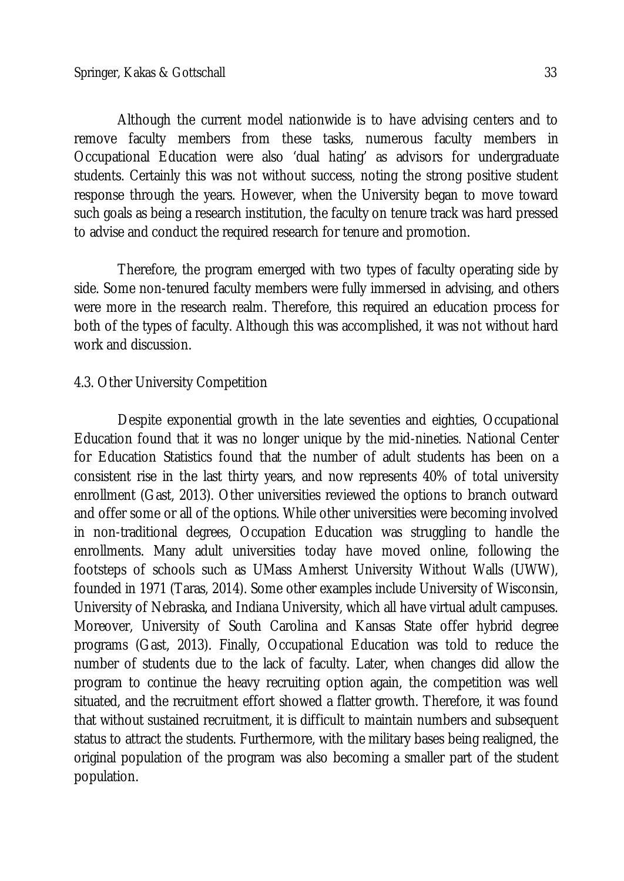remove faculty members from these tasks, numerous faculty members in Occupational Education were also 'dual hating' as advisors for undergraduate students. Certainly this was not without success, noting the strong positive student response through the years. However, when the University began to move toward such goals as being a research institution, the faculty on tenure track was hard pressed to advise and conduct the required research for tenure and promotion.

Therefore, the program emerged with two types of faculty operating side by side. Some non-tenured faculty members were fully immersed in advising, and others were more in the research realm. Therefore, this required an education process for both of the types of faculty. Although this was accomplished, it was not without hard work and discussion.

# 4.3. Other University Competition

Despite exponential growth in the late seventies and eighties, Occupational Education found that it was no longer unique by the mid-nineties. National Center for Education Statistics found that the number of adult students has been on a consistent rise in the last thirty years, and now represents 40% of total university enrollment (Gast, 2013). Other universities reviewed the options to branch outward and offer some or all of the options. While other universities were becoming involved in non-traditional degrees, Occupation Education was struggling to handle the enrollments. Many adult universities today have moved online, following the footsteps of schools such as UMass Amherst University Without Walls (UWW), founded in 1971 (Taras, 2014). Some other examples include University of Wisconsin, University of Nebraska, and Indiana University, which all have virtual adult campuses. Moreover, University of South Carolina and Kansas State offer hybrid degree programs (Gast, 2013). Finally, Occupational Education was told to reduce the number of students due to the lack of faculty. Later, when changes did allow the program to continue the heavy recruiting option again, the competition was well situated, and the recruitment effort showed a flatter growth. Therefore, it was found that without sustained recruitment, it is difficult to maintain numbers and subsequent status to attract the students. Furthermore, with the military bases being realigned, the original population of the program was also becoming a smaller part of the student population.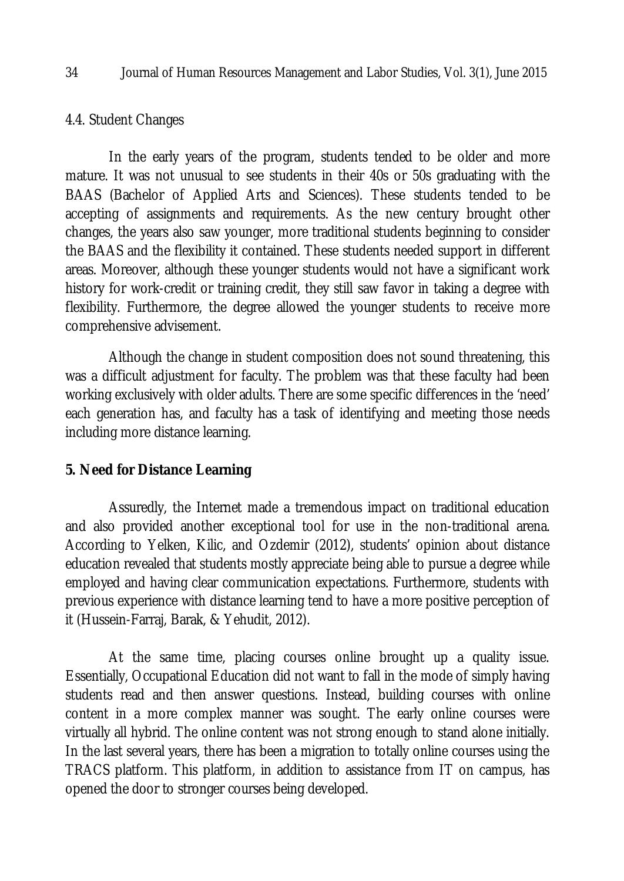#### 4.4. Student Changes

In the early years of the program, students tended to be older and more mature. It was not unusual to see students in their 40s or 50s graduating with the BAAS (Bachelor of Applied Arts and Sciences). These students tended to be accepting of assignments and requirements. As the new century brought other changes, the years also saw younger, more traditional students beginning to consider the BAAS and the flexibility it contained. These students needed support in different areas. Moreover, although these younger students would not have a significant work history for work-credit or training credit, they still saw favor in taking a degree with flexibility. Furthermore, the degree allowed the younger students to receive more comprehensive advisement.

Although the change in student composition does not sound threatening, this was a difficult adjustment for faculty. The problem was that these faculty had been working exclusively with older adults. There are some specific differences in the 'need' each generation has, and faculty has a task of identifying and meeting those needs including more distance learning.

### **5. Need for Distance Learning**

Assuredly, the Internet made a tremendous impact on traditional education and also provided another exceptional tool for use in the non-traditional arena. According to Yelken, Kilic, and Ozdemir (2012), students' opinion about distance education revealed that students mostly appreciate being able to pursue a degree while employed and having clear communication expectations. Furthermore, students with previous experience with distance learning tend to have a more positive perception of it (Hussein-Farraj, Barak, & Yehudit, 2012).

At the same time, placing courses online brought up a quality issue. Essentially, Occupational Education did not want to fall in the mode of simply having students read and then answer questions. Instead, building courses with online content in a more complex manner was sought. The early online courses were virtually all hybrid. The online content was not strong enough to stand alone initially. In the last several years, there has been a migration to totally online courses using the TRACS platform. This platform, in addition to assistance from IT on campus, has opened the door to stronger courses being developed.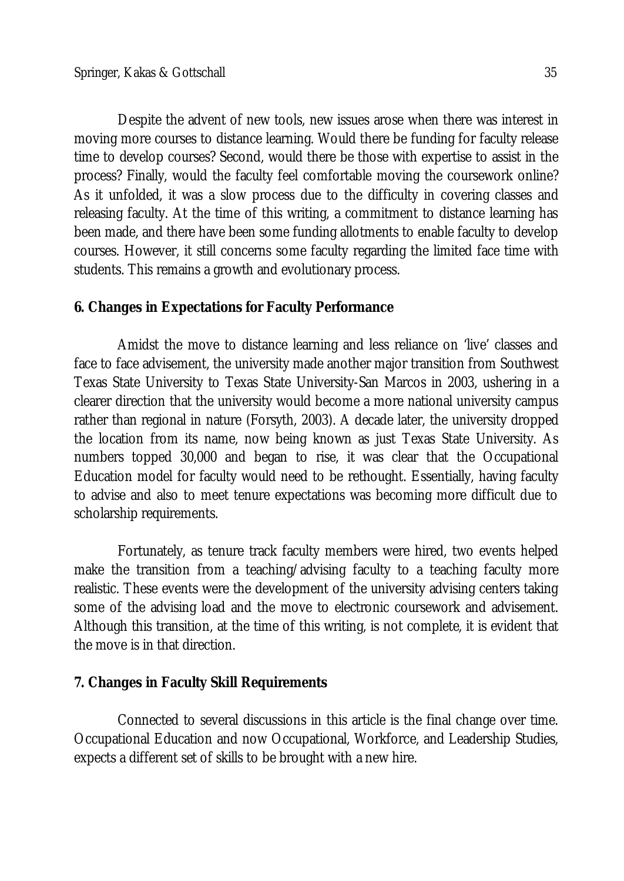Despite the advent of new tools, new issues arose when there was interest in moving more courses to distance learning. Would there be funding for faculty release time to develop courses? Second, would there be those with expertise to assist in the process? Finally, would the faculty feel comfortable moving the coursework online? As it unfolded, it was a slow process due to the difficulty in covering classes and releasing faculty. At the time of this writing, a commitment to distance learning has been made, and there have been some funding allotments to enable faculty to develop courses. However, it still concerns some faculty regarding the limited face time with students. This remains a growth and evolutionary process.

## **6. Changes in Expectations for Faculty Performance**

Amidst the move to distance learning and less reliance on 'live' classes and face to face advisement, the university made another major transition from Southwest Texas State University to Texas State University-San Marcos in 2003, ushering in a clearer direction that the university would become a more national university campus rather than regional in nature (Forsyth, 2003). A decade later, the university dropped the location from its name, now being known as just Texas State University. As numbers topped 30,000 and began to rise, it was clear that the Occupational Education model for faculty would need to be rethought. Essentially, having faculty to advise and also to meet tenure expectations was becoming more difficult due to scholarship requirements.

Fortunately, as tenure track faculty members were hired, two events helped make the transition from a teaching/advising faculty to a teaching faculty more realistic. These events were the development of the university advising centers taking some of the advising load and the move to electronic coursework and advisement. Although this transition, at the time of this writing, is not complete, it is evident that the move is in that direction.

## **7. Changes in Faculty Skill Requirements**

Connected to several discussions in this article is the final change over time. Occupational Education and now Occupational, Workforce, and Leadership Studies, expects a different set of skills to be brought with a new hire.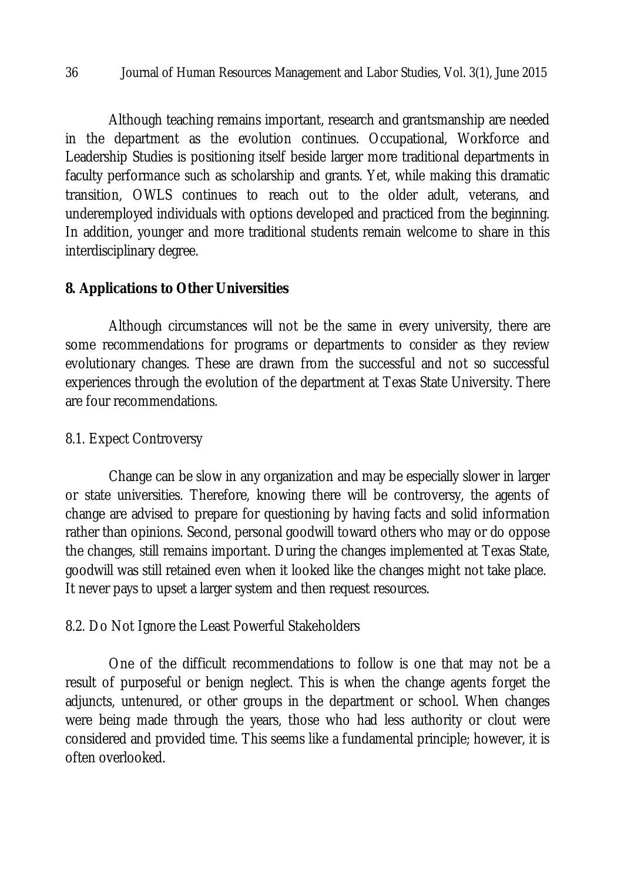Although teaching remains important, research and grantsmanship are needed in the department as the evolution continues. Occupational, Workforce and Leadership Studies is positioning itself beside larger more traditional departments in faculty performance such as scholarship and grants. Yet, while making this dramatic transition, OWLS continues to reach out to the older adult, veterans, and underemployed individuals with options developed and practiced from the beginning. In addition, younger and more traditional students remain welcome to share in this interdisciplinary degree.

## **8. Applications to Other Universities**

Although circumstances will not be the same in every university, there are some recommendations for programs or departments to consider as they review evolutionary changes. These are drawn from the successful and not so successful experiences through the evolution of the department at Texas State University. There are four recommendations.

### 8.1. Expect Controversy

Change can be slow in any organization and may be especially slower in larger or state universities. Therefore, knowing there will be controversy, the agents of change are advised to prepare for questioning by having facts and solid information rather than opinions. Second, personal goodwill toward others who may or do oppose the changes, still remains important. During the changes implemented at Texas State, goodwill was still retained even when it looked like the changes might not take place. It never pays to upset a larger system and then request resources.

## 8.2. Do Not Ignore the Least Powerful Stakeholders

One of the difficult recommendations to follow is one that may not be a result of purposeful or benign neglect. This is when the change agents forget the adjuncts, untenured, or other groups in the department or school. When changes were being made through the years, those who had less authority or clout were considered and provided time. This seems like a fundamental principle; however, it is often overlooked.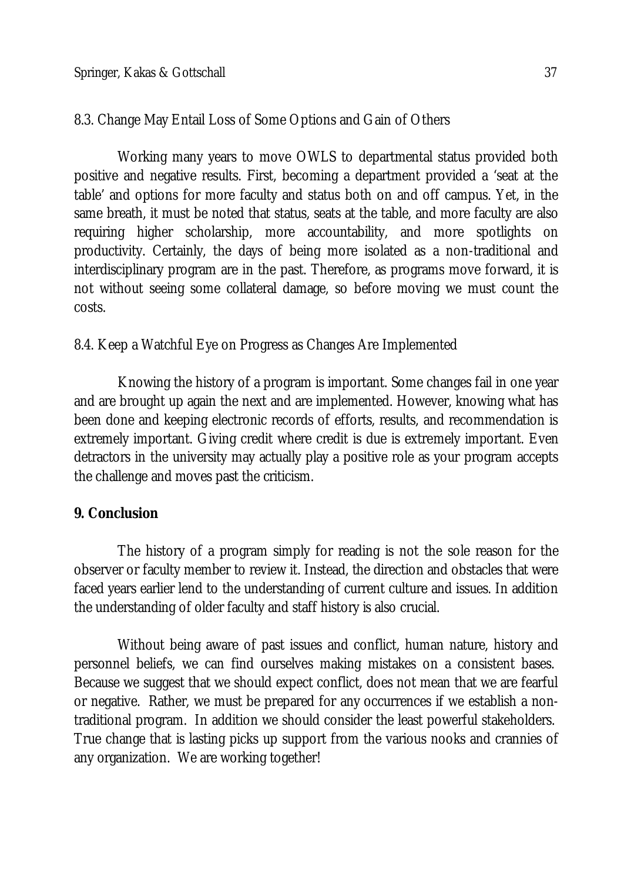# 8.3. Change May Entail Loss of Some Options and Gain of Others

Working many years to move OWLS to departmental status provided both positive and negative results. First, becoming a department provided a 'seat at the table' and options for more faculty and status both on and off campus. Yet, in the same breath, it must be noted that status, seats at the table, and more faculty are also requiring higher scholarship, more accountability, and more spotlights on productivity. Certainly, the days of being more isolated as a non-traditional and interdisciplinary program are in the past. Therefore, as programs move forward, it is not without seeing some collateral damage, so before moving we must count the costs.

## 8.4. Keep a Watchful Eye on Progress as Changes Are Implemented

Knowing the history of a program is important. Some changes fail in one year and are brought up again the next and are implemented. However, knowing what has been done and keeping electronic records of efforts, results, and recommendation is extremely important. Giving credit where credit is due is extremely important. Even detractors in the university may actually play a positive role as your program accepts the challenge and moves past the criticism.

# **9. Conclusion**

The history of a program simply for reading is not the sole reason for the observer or faculty member to review it. Instead, the direction and obstacles that were faced years earlier lend to the understanding of current culture and issues. In addition the understanding of older faculty and staff history is also crucial.

Without being aware of past issues and conflict, human nature, history and personnel beliefs, we can find ourselves making mistakes on a consistent bases. Because we suggest that we should expect conflict, does not mean that we are fearful or negative. Rather, we must be prepared for any occurrences if we establish a nontraditional program. In addition we should consider the least powerful stakeholders. True change that is lasting picks up support from the various nooks and crannies of any organization. We are working together!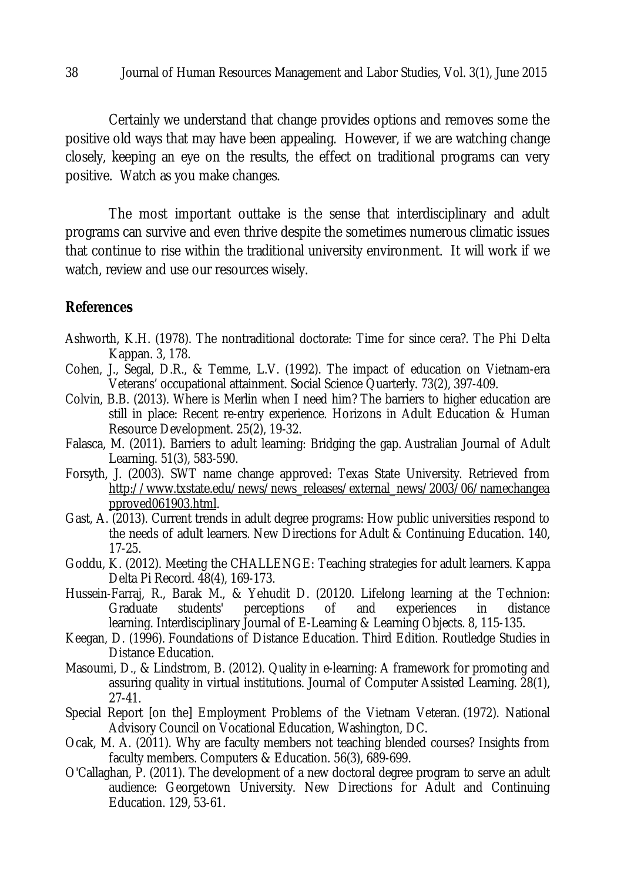Certainly we understand that change provides options and removes some the positive old ways that may have been appealing. However, if we are watching change closely, keeping an eye on the results, the effect on traditional programs can very positive. Watch as you make changes.

The most important outtake is the sense that interdisciplinary and adult programs can survive and even thrive despite the sometimes numerous climatic issues that continue to rise within the traditional university environment. It will work if we watch, review and use our resources wisely.

## **References**

- Ashworth, K.H. (1978). The nontraditional doctorate: Time for since cera?. The Phi Delta Kappan. 3, 178.
- Cohen, J., Segal, D.R., & Temme, L.V. (1992). The impact of education on Vietnam-era Veterans' occupational attainment. Social Science Quarterly. 73(2), 397-409.
- Colvin, B.B. (2013). Where is Merlin when I need him? The barriers to higher education are still in place: Recent re-entry experience. Horizons in Adult Education & Human Resource Development. 25(2), 19-32.
- Falasca, M. (2011). Barriers to adult learning: Bridging the gap. Australian Journal of Adult Learning. 51(3), 583-590.
- Forsyth, J. (2003). SWT name change approved: Texas State University. Retrieved from http://www.txstate.edu/news/news\_releases/external\_news/2003/06/namechangea pproved061903.html.
- Gast, A. (2013). Current trends in adult degree programs: How public universities respond to the needs of adult learners. New Directions for Adult & Continuing Education. 140, 17-25.
- Goddu, K. (2012). Meeting the CHALLENGE: Teaching strategies for adult learners. Kappa Delta Pi Record. 48(4), 169-173.
- Hussein-Farraj, R., Barak M., & Yehudit D. (20120. Lifelong learning at the Technion: Graduate students' perceptions of and experiences in distance learning. Interdisciplinary Journal of E-Learning & Learning Objects. 8, 115-135.
- Keegan, D. (1996). Foundations of Distance Education. Third Edition. Routledge Studies in Distance Education.
- Masoumi, D., & Lindstrom, B. (2012). Quality in e-learning: A framework for promoting and assuring quality in virtual institutions. Journal of Computer Assisted Learning. 28(1), 27-41.
- Special Report [on the] Employment Problems of the Vietnam Veteran. (1972). National Advisory Council on Vocational Education, Washington, DC.
- Ocak, M. A. (2011). Why are faculty members not teaching blended courses? Insights from faculty members. Computers & Education. 56(3), 689-699.
- O'Callaghan, P. (2011). The development of a new doctoral degree program to serve an adult audience: Georgetown University. New Directions for Adult and Continuing Education. 129, 53-61.